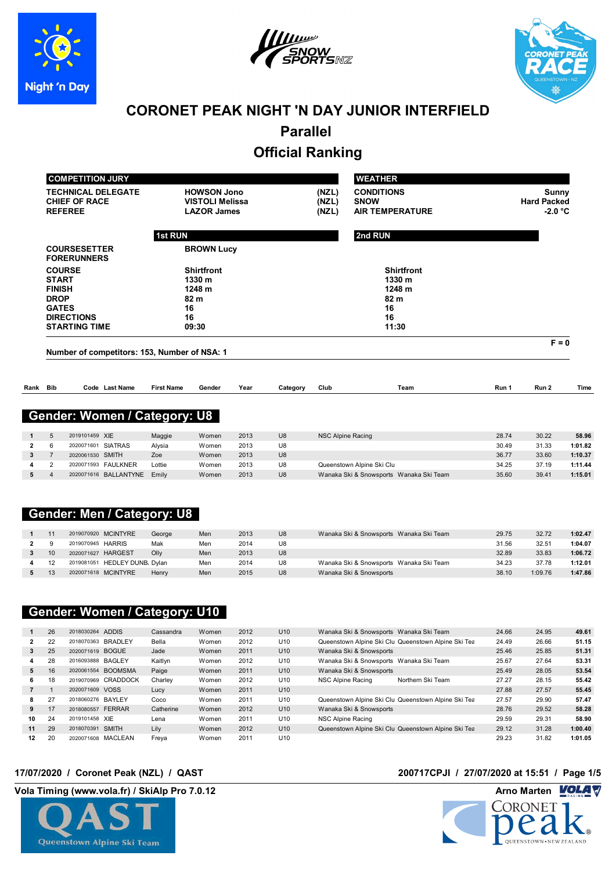





# **CORONET PEAK NIGHT 'N DAY JUNIOR INTERFIELD**

**Parallel** 

# **Official Ranking**

|              |                                              | <b>COMPETITION JURY</b>                        |                           |                              |                                                                    |              |          |                          | <b>WEATHER</b>                                             |                |                                                 |                  |
|--------------|----------------------------------------------|------------------------------------------------|---------------------------|------------------------------|--------------------------------------------------------------------|--------------|----------|--------------------------|------------------------------------------------------------|----------------|-------------------------------------------------|------------------|
|              | <b>REFEREE</b>                               | <b>CHIEF OF RACE</b>                           | <b>TECHNICAL DELEGATE</b> |                              | <b>HOWSON Jono</b><br><b>VISTOLI Melissa</b><br><b>LAZOR James</b> |              |          | (NZL)<br>(NZL)<br>(NZL)  | <b>CONDITIONS</b><br><b>SNOW</b><br><b>AIR TEMPERATURE</b> |                | <b>Sunny</b><br><b>Hard Packed</b><br>$-2.0 °C$ |                  |
|              |                                              |                                                |                           | <b>1st RUN</b>               |                                                                    |              |          |                          | 2nd RUN                                                    |                |                                                 |                  |
|              |                                              | <b>COURSESETTER</b><br><b>FORERUNNERS</b>      |                           |                              | <b>BROWN Lucy</b>                                                  |              |          |                          |                                                            |                |                                                 |                  |
|              |                                              | <b>COURSE</b><br><b>START</b><br><b>FINISH</b> |                           |                              | <b>Shirtfront</b><br>1330 m<br>1248 m                              |              |          |                          | <b>Shirtfront</b><br>1330 m<br>1248 m                      |                |                                                 |                  |
|              | <b>DROP</b><br><b>GATES</b>                  |                                                |                           |                              | 82 m<br>16                                                         |              |          |                          | 82 m<br>16                                                 |                |                                                 |                  |
|              | <b>DIRECTIONS</b><br><b>STARTING TIME</b>    |                                                |                           |                              | 16<br>09:30                                                        |              |          |                          | 16<br>11:30                                                |                |                                                 |                  |
|              | Number of competitors: 153, Number of NSA: 1 |                                                |                           |                              |                                                                    |              |          |                          |                                                            | $F = 0$        |                                                 |                  |
|              |                                              |                                                |                           |                              |                                                                    |              |          |                          |                                                            |                |                                                 |                  |
| Rank Bib     |                                              |                                                | Code Last Name            | <b>First Name</b>            | Gender                                                             | Year         | Category | Club                     | Team                                                       | Run 1          | Run 2                                           | Time             |
|              |                                              |                                                |                           | Gender: Women / Category: U8 |                                                                    |              |          |                          |                                                            |                |                                                 |                  |
|              |                                              |                                                |                           |                              |                                                                    |              |          |                          |                                                            |                |                                                 |                  |
| $\mathbf{1}$ | $\overline{5}$<br>6                          | 2019101459 XIE                                 |                           | Maggie                       | Women                                                              | 2013<br>2013 | U8<br>U8 | <b>NSC Alpine Racing</b> |                                                            | 28.74<br>30.49 | 30.22<br>31.33                                  | 58.96<br>1:01.82 |
| $\mathbf{2}$ |                                              |                                                | 2020071601 SIATRAS        | Alysia                       | Women                                                              |              |          |                          |                                                            |                |                                                 |                  |

|  | 2020071601 SIATRAS          | Alysia | Women | 2013 | U8             |                                         | 30.49 | 31.33 | 1:01.82 |
|--|-----------------------------|--------|-------|------|----------------|-----------------------------------------|-------|-------|---------|
|  | 2020061530 SMITH            | Zoe    | Women | 2013 | U <sub>8</sub> |                                         | 36.77 | 33.60 | 1:10.37 |
|  | 2020071593 FAULKNER         | _ottie | Women | 2013 | U8             | Queenstown Alpine Ski Clu               | 34.25 | 37.19 | 1:11.44 |
|  | 2020071616 BALLANTYNE Emily |        | Women | 2013 | U <sub>8</sub> | Wanaka Ski & Snowsports Wanaka Ski Team | 35.60 | 39.41 | 1:15.01 |
|  |                             |        |       |      |                |                                         |       |       |         |

# **Gender: Men / Category: U8**

|  | 2019070920 MCINTYRE           | George | Men | 2013 | U <sub>8</sub> | Wanaka Ski & Snowsports Wanaka Ski Team | 29.75 | 32.72   | 1:02.47 |
|--|-------------------------------|--------|-----|------|----------------|-----------------------------------------|-------|---------|---------|
|  | 2019070945 HARRIS             | Mak    | Men | 2014 | U8             |                                         | 31.56 | 32.51   | 1:04.07 |
|  | 2020071627 HARGEST            | Olly   | Men | 2013 | U <sub>8</sub> |                                         | 32.89 | 33.83   | 1:06.72 |
|  | 2019081051 HEDLEY DUNB, Dylan |        | Men | 2014 | U8             | Wanaka Ski & Snowsports Wanaka Ski Team | 34.23 | 37.78   | 1:12.01 |
|  | 2020071618 MCINTYRE           | Henry  | Men | 2015 | U <sub>8</sub> | Wanaka Ski & Snowsports                 | 38.10 | 1:09.76 | 1:47.86 |

## **Gender: Women / Category: U10**

|    | 26 | 2018030264 ADDIS              |           |       | 2012 |                 |                                                     |       |       |         |
|----|----|-------------------------------|-----------|-------|------|-----------------|-----------------------------------------------------|-------|-------|---------|
|    |    |                               | Cassandra | Women |      | U <sub>10</sub> | Wanaka Ski & Snowsports Wanaka Ski Team             | 24.66 | 24.95 | 49.61   |
|    | 22 | 2018070363 BRADLEY            | Bella     | Women | 2012 | U10             | Queenstown Alpine Ski Clu Queenstown Alpine Ski Tea | 24.49 | 26.66 | 51.15   |
| 3  | 25 | 2020071619 BOGUE              | Jade      | Women | 2011 | U <sub>10</sub> | Wanaka Ski & Snowsports                             | 25.46 | 25.85 | 51.31   |
|    | 28 | 2016093888 BAGLEY             | Kaitlyn   | Women | 2012 | U10             | Wanaka Ski & Snowsports Wanaka Ski Team             | 25.67 | 27.64 | 53.31   |
| 5  | 16 | <b>BOOMSMA</b><br>2020061554  | Paige     | Women | 2011 | U <sub>10</sub> | Wanaka Ski & Snowsports                             | 25.49 | 28.05 | 53.54   |
| 6. | 18 | <b>CRADDOCK</b><br>2019070969 | Charley   | Women | 2012 | U10             | NSC Alpine Racing<br>Northern Ski Team              | 27.27 | 28.15 | 55.42   |
|    |    | <b>VOSS</b><br>2020071609     | Lucy      | Women | 2011 | U <sub>10</sub> |                                                     | 27.88 | 27.57 | 55.45   |
| 8  | 27 | 2018060276 BAYLEY             | Coco      | Women | 2011 | U10             | Queenstown Alpine Ski Clu Queenstown Alpine Ski Tea | 27.57 | 29.90 | 57.47   |
| 9  | 17 | <b>FERRAR</b><br>2018080557   | Catherine | Women | 2012 | U <sub>10</sub> | Wanaka Ski & Snowsports                             | 28.76 | 29.52 | 58.28   |
| 10 | 24 | 2019101458 XIE                | Lena      | Women | 2011 | U10             | NSC Alpine Racing                                   | 29.59 | 29.31 | 58.90   |
| 11 | 29 | <b>SMITH</b><br>2018070391    | Lily      | Women | 2012 | U <sub>10</sub> | Queenstown Alpine Ski Clu Queenstown Alpine Ski Tea | 29.12 | 31.28 | 1:00.40 |
| 12 | 20 | 2020071608 MACLEAN            | Freya     | Women | 2011 | U10             |                                                     | 29.23 | 31.82 | 1:01.05 |



## **17/07/2020 / Coronet Peak (NZL) / QAST 200717CPJI / 27/07/2020 at 15:51 / Page 1/5**

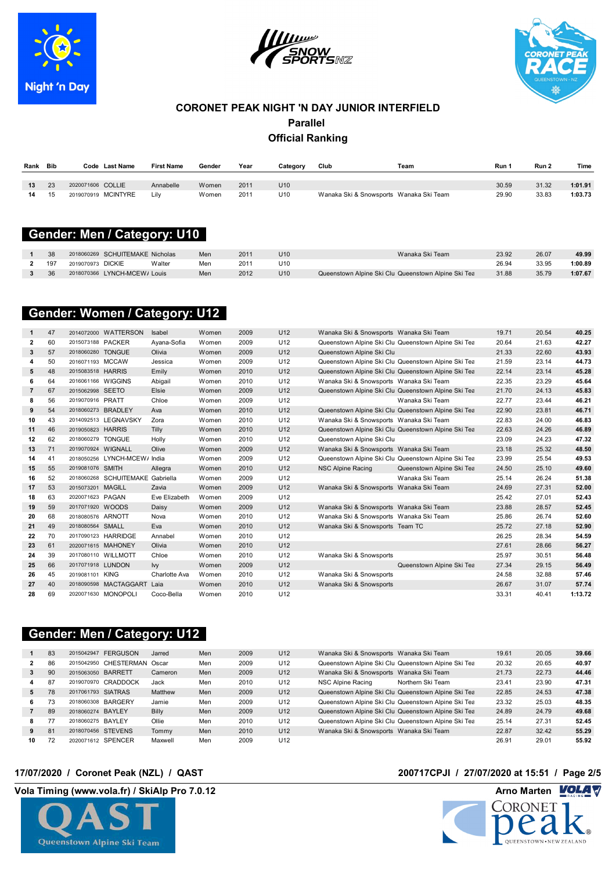





| Rank | <b>Bib</b> | <b>Last Name</b><br>Code | <b>First Name</b> | Gender | Year | Category        | Club                                    | Team | Run 1 | Run 2 | Time    |
|------|------------|--------------------------|-------------------|--------|------|-----------------|-----------------------------------------|------|-------|-------|---------|
|      |            |                          |                   |        |      |                 |                                         |      |       |       |         |
| 13   | 23         | 2020071606 COLLIE        | Annabelle         | Women  | 2011 | U <sub>10</sub> |                                         |      | 30.59 | 31.32 | 1:01.91 |
| 14   | 15         | 2019070919 MCINTYRE      | Lilv              | Women  | 201  | U10             | Wanaka Ski & Snowsports Wanaka Ski Team |      | 29.90 | 33.83 | 1:03.73 |
|      |            |                          |                   |        |      |                 |                                         |      |       |       |         |

### **15t Bender: Men / Category: U10 Candidates**

| 38  | 2018060269 SCHUITEMAKE Nicholas |        | Men | 2011 | U <sub>10</sub> | Wanaka Ski Team                                     | 23.92 | 26.07 | 49.99   |
|-----|---------------------------------|--------|-----|------|-----------------|-----------------------------------------------------|-------|-------|---------|
| 197 | 2019070973 DICKIE               | Walter | Men | 201' | U10             |                                                     | 26.94 | 33.95 | 1:00.89 |
| 36  | 2018070366 LYNCH-MCEW/ Louis    |        | Men | 2012 | U10             | Queenstown Alpine Ski Clu Queenstown Alpine Ski Tea | 31.88 | 35.79 | 1:07.67 |
|     |                                 |        |     |      |                 |                                                     |       |       |         |

### **GATES 16 16 Gender: Women / Category: U12**

| 1              | 47 |                     | 2014072000 WATTERSON             | Isabel        | Women | 2009 | U12 | Wanaka Ski & Snowsports Wanaka Ski Team |                                                     | 19.71 | 20.54 | 40.25   |
|----------------|----|---------------------|----------------------------------|---------------|-------|------|-----|-----------------------------------------|-----------------------------------------------------|-------|-------|---------|
| $\overline{2}$ | 60 | 2015073188 PACKER   |                                  | Ayana-Sofia   | Women | 2009 | U12 |                                         | Queenstown Alpine Ski Clu Queenstown Alpine Ski Tea | 20.64 | 21.63 | 42.27   |
| 3              | 57 | 2018060280 TONGUE   |                                  | Olivia        | Women | 2009 | U12 | Queenstown Alpine Ski Clu               |                                                     | 21.33 | 22.60 | 43.93   |
| 4              | 50 | 2016071193 MCCAW    |                                  | Jessica       | Women | 2009 | U12 |                                         | Queenstown Alpine Ski Clu Queenstown Alpine Ski Tea | 21.59 | 23.14 | 44.73   |
| 5              | 48 | 2015083518 HARRIS   |                                  | Emily         | Women | 2010 | U12 |                                         | Queenstown Alpine Ski Clu Queenstown Alpine Ski Tea | 22.14 | 23.14 | 45.28   |
| 6              | 64 | 2016061166 WIGGINS  |                                  | Abigail       | Women | 2010 | U12 | Wanaka Ski & Snowsports Wanaka Ski Team |                                                     | 22.35 | 23.29 | 45.64   |
| $\overline{7}$ | 67 | 2015062998 SEETO    |                                  | Elsie         | Women | 2009 | U12 |                                         | Queenstown Alpine Ski Clu Queenstown Alpine Ski Tea | 21.70 | 24.13 | 45.83   |
| 8              | 56 | 2019070916 PRATT    |                                  | Chloe         | Women | 2009 | U12 |                                         | Wanaka Ski Team                                     | 22.77 | 23.44 | 46.21   |
| 9              | 54 | 2018060273 BRADLEY  |                                  | Ava           | Women | 2010 | U12 |                                         | Queenstown Alpine Ski Clu Queenstown Alpine Ski Tea | 22.90 | 23.81 | 46.71   |
| 10             | 43 |                     | 2014092513 LEGNAVSKY             | Zora          | Women | 2010 | U12 | Wanaka Ski & Snowsports Wanaka Ski Team |                                                     | 22.83 | 24.00 | 46.83   |
| 11             | 46 | 2019050823 HARRIS   |                                  | Tilly         | Women | 2010 | U12 |                                         | Queenstown Alpine Ski Clu Queenstown Alpine Ski Tea | 22.63 | 24.26 | 46.89   |
| 12             | 62 | 2018060279 TONGUE   |                                  | Holly         | Women | 2010 | U12 | Queenstown Alpine Ski Clu               |                                                     | 23.09 | 24.23 | 47.32   |
| 13             | 71 | 2019070924 WIGNALL  |                                  | Olive         | Women | 2009 | U12 | Wanaka Ski & Snowsports Wanaka Ski Team |                                                     | 23.18 | 25.32 | 48.50   |
| 14             | 41 |                     | 2018050256 LYNCH-MCEW/ India     |               | Women | 2009 | U12 |                                         | Queenstown Alpine Ski Clu Queenstown Alpine Ski Tea | 23.99 | 25.54 | 49.53   |
| 15             | 55 | 2019081076 SMITH    |                                  | Allegra       | Women | 2010 | U12 | <b>NSC Alpine Racing</b>                | Queenstown Alpine Ski Tea                           | 24.50 | 25.10 | 49.60   |
| 16             | 52 |                     | 2018060268 SCHUITEMAKE Gabriella |               | Women | 2009 | U12 |                                         | Wanaka Ski Team                                     | 25.14 | 26.24 | 51.38   |
| 17             | 53 | 2015073201 MAGILL   |                                  | Zavia         | Women | 2009 | U12 | Wanaka Ski & Snowsports Wanaka Ski Team |                                                     | 24.69 | 27.31 | 52.00   |
| 18             | 63 | 2020071623 PAGAN    |                                  | Eve Elizabeth | Women | 2009 | U12 |                                         |                                                     | 25.42 | 27.01 | 52.43   |
| 19             | 59 | 2017071920 WOODS    |                                  | Daisy         | Women | 2009 | U12 | Wanaka Ski & Snowsports Wanaka Ski Team |                                                     | 23.88 | 28.57 | 52.45   |
| 20             | 68 | 2018080576 ARNOTT   |                                  | Nova          | Women | 2010 | U12 | Wanaka Ski & Snowsports Wanaka Ski Team |                                                     | 25.86 | 26.74 | 52.60   |
| 21             | 49 | 2018080564 SMALL    |                                  | Eva           | Women | 2010 | U12 | Wanaka Ski & Snowsports Team TC         |                                                     | 25.72 | 27.18 | 52.90   |
| 22             | 70 | 2017090123 HARRIDGE |                                  | Annabel       | Women | 2010 | U12 |                                         |                                                     | 26.25 | 28.34 | 54.59   |
| 23             | 61 | 2020071615 MAHONEY  |                                  | Olivia        | Women | 2010 | U12 |                                         |                                                     | 27.61 | 28.66 | 56.27   |
| 24             | 39 | 2017080110 WILLMOTT |                                  | Chloe         | Women | 2010 | U12 | Wanaka Ski & Snowsports                 |                                                     | 25.97 | 30.51 | 56.48   |
| 25             | 66 | 2017071918 LUNDON   |                                  | Iw            | Women | 2009 | U12 |                                         | Queenstown Alpine Ski Tea                           | 27.34 | 29.15 | 56.49   |
| 26             | 45 | 2019081101 KING     |                                  | Charlotte Ava | Women | 2010 | U12 | Wanaka Ski & Snowsports                 |                                                     | 24.58 | 32.88 | 57.46   |
| 27             | 40 |                     | 2018090598 MACTAGGART            | Laia          | Women | 2010 | U12 | Wanaka Ski & Snowsports                 |                                                     | 26.67 | 31.07 | 57.74   |
| 28             | 69 |                     | 2020071630 MONOPOLI              | Coco-Bella    | Women | 2010 | U12 |                                         |                                                     | 33.31 | 40.41 | 1:13.72 |
|                |    |                     |                                  |               |       |      |     |                                         |                                                     |       |       |         |

## **Gender: Men / Category: U12**

|                | 83 | 2015042947         | <b>FERGUSON</b>       | Jarred       | Men | 2009 | U12 | Wanaka Ski & Snowsports Wanaka Ski Team |                                                     | 19.61 | 20.05 | 39.66 |
|----------------|----|--------------------|-----------------------|--------------|-----|------|-----|-----------------------------------------|-----------------------------------------------------|-------|-------|-------|
|                | 86 |                    | 2015042950 CHESTERMAN | Oscar        | Men | 2009 | U12 |                                         | Queenstown Alpine Ski Clu Queenstown Alpine Ski Tea | 20.32 | 20.65 | 40.97 |
| 3              | 90 | 2015063050 BARRETT |                       | Cameron      | Men | 2009 | U12 | Wanaka Ski & Snowsports Wanaka Ski Team |                                                     | 21.73 | 22.73 | 44.46 |
|                | 87 |                    | 2019070970 CRADDOCK   | Jack         | Men | 2010 | U12 | NSC Alpine Racing                       | Northern Ski Team                                   | 23.41 | 23.90 | 47.31 |
| 5              | 78 | 2017061793 SIATRAS |                       | Matthew      | Men | 2009 | U12 |                                         | Queenstown Alpine Ski Clu Queenstown Alpine Ski Tea | 22.85 | 24.53 | 47.38 |
| 6.             | 73 | 2018060308 BARGERY |                       | Jamie        | Men | 2009 | U12 |                                         | Queenstown Alpine Ski Clu Queenstown Alpine Ski Tea | 23.32 | 25.03 | 48.35 |
| $\overline{7}$ | 89 | 2018060274 BAYLEY  |                       | <b>Billy</b> | Men | 2009 | U12 |                                         | Queenstown Alpine Ski Clu Queenstown Alpine Ski Tea | 24.89 | 24.79 | 49.68 |
|                | 77 | 2018060275 BAYLEY  |                       | Ollie        | Men | 2010 | U12 |                                         | Queenstown Alpine Ski Clu Queenstown Alpine Ski Tea | 25.14 | 27.31 | 52.45 |
| 9              | 81 | 2018070456 STEVENS |                       | Tommy        | Men | 2010 | U12 | Wanaka Ski & Snowsports Wanaka Ski Team |                                                     | 22.87 | 32.42 | 55.29 |
| 10             | 72 | 2020071612 SPENCER |                       | Maxwell      | Men | 2009 | U12 |                                         |                                                     | 26.91 | 29.01 | 55.92 |
|                |    |                    |                       |              |     |      |     |                                         |                                                     |       |       |       |

### **17/07/2020 / Coronet Peak (NZL) / QAST 200717CPJI / 27/07/2020 at 15:51 / Page 2/5**



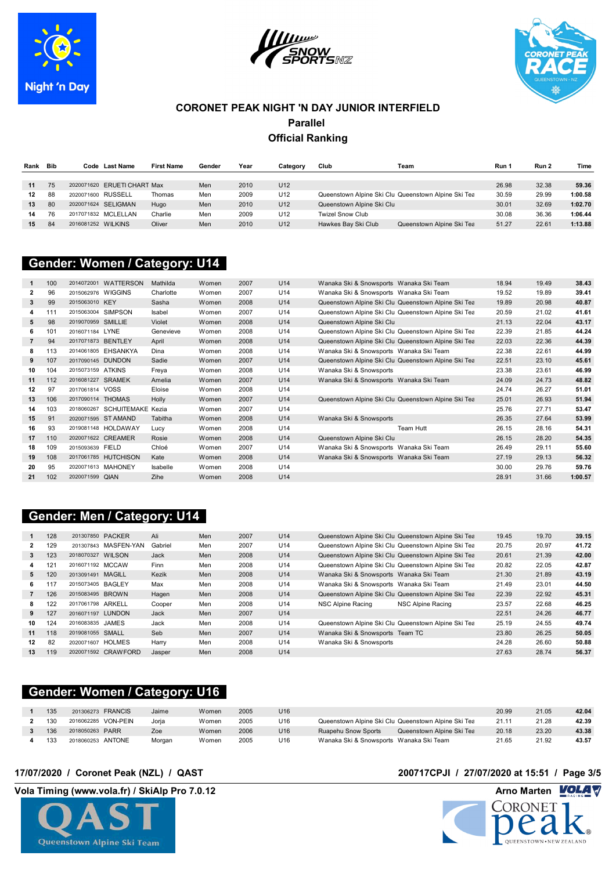





| Rank | Bib |                     | Code Last Name              | <b>First Name</b> | Gender | Year | Category        | Club                      | Team                                                | Run 1 | Run 2 | Time    |
|------|-----|---------------------|-----------------------------|-------------------|--------|------|-----------------|---------------------------|-----------------------------------------------------|-------|-------|---------|
|      |     |                     |                             |                   |        |      |                 |                           |                                                     |       |       |         |
| 11   | 75  |                     | 2020071620 ERUETI CHART Max |                   | Men    | 2010 | U <sub>12</sub> |                           |                                                     | 26.98 | 32.38 | 59.36   |
| 12   | 88  | 2020071600 RUSSELL  |                             | Thomas            | Men    | 2009 | U12             |                           | Queenstown Alpine Ski Clu Queenstown Alpine Ski Tea | 30.59 | 29.99 | 1:00.58 |
| 13   | 80  | 2020071624 SELIGMAN |                             | Huao              | Men    | 2010 | U12             | Queenstown Alpine Ski Clu |                                                     | 30.01 | 32.69 | 1:02.70 |
| 14   | 76  | 2017071832 MCLELLAN |                             | Charlie           | Men    | 2009 | U12             | <b>Twizel Snow Club</b>   |                                                     | 30.08 | 36.36 | 1:06.44 |
| 15   | 84  | 2016081252 WILKINS  |                             | Oliver            | Men    | 2010 | U <sub>12</sub> | Hawkes Bay Ski Club       | Queenstown Alpine Ski Tea                           | 51.27 | 22.61 | 1:13.88 |

### **FORERUNNERS Gender: Women / Category: U14 Category: U14**

|                | 100 | 2014072001           | <b>WATTERSON</b>  | Mathilda  | Women | 2007 | U14 | Wanaka Ski & Snowsports Wanaka Ski Team |                                                     | 18.94 | 19.49 | 38.43   |
|----------------|-----|----------------------|-------------------|-----------|-------|------|-----|-----------------------------------------|-----------------------------------------------------|-------|-------|---------|
| 2              | 96  | 2015062976 WIGGINS   |                   | Charlotte | Women | 2007 | U14 | Wanaka Ski & Snowsports Wanaka Ski Team |                                                     | 19.52 | 19.89 | 39.41   |
| 3              | 99  | 2015063010 KEY       |                   | Sasha     | Women | 2008 | U14 |                                         | Queenstown Alpine Ski Clu Queenstown Alpine Ski Tea | 19.89 | 20.98 | 40.87   |
| 4              | 111 | 2015063004 SIMPSON   |                   | Isabel    | Women | 2007 | U14 |                                         | Queenstown Alpine Ski Clu Queenstown Alpine Ski Tea | 20.59 | 21.02 | 41.61   |
| 5              | 98  | 2019070959 SMILLIE   |                   | Violet    | Women | 2008 | U14 | Queenstown Alpine Ski Clu               |                                                     | 21.13 | 22.04 | 43.17   |
| 6              | 101 | 2016071184 LYNE      |                   | Genevieve | Women | 2008 | U14 |                                         | Queenstown Alpine Ski Clu Queenstown Alpine Ski Tea | 22.39 | 21.85 | 44.24   |
| $\overline{7}$ | 94  | 2017071873 BENTLEY   |                   | April     | Women | 2008 | U14 |                                         | Queenstown Alpine Ski Clu Queenstown Alpine Ski Tea | 22.03 | 22.36 | 44.39   |
| 8              | 113 | 2014061805 EHSANKYA  |                   | Dina      | Women | 2008 | U14 | Wanaka Ski & Snowsports Wanaka Ski Team |                                                     | 22.38 | 22.61 | 44.99   |
| 9              | 107 | 2017090145 DUNDON    |                   | Sadie     | Women | 2007 | U14 |                                         | Queenstown Alpine Ski Clu Queenstown Alpine Ski Tea | 22.51 | 23.10 | 45.61   |
| 10             | 104 | 2015073159 ATKINS    |                   | Freya     | Women | 2008 | U14 | Wanaka Ski & Snowsports                 |                                                     | 23.38 | 23.61 | 46.99   |
| 11             | 112 | 2016081227 SRAMEK    |                   | Amelia    | Women | 2007 | U14 | Wanaka Ski & Snowsports Wanaka Ski Team |                                                     | 24.09 | 24.73 | 48.82   |
| 12             | 97  | 2017061814 VOSS      |                   | Eloise    | Women | 2008 | U14 |                                         |                                                     | 24.74 | 26.27 | 51.01   |
| 13             | 106 | 2017090114 THOMAS    |                   | Holly     | Women | 2007 | U14 |                                         | Queenstown Alpine Ski Clu Queenstown Alpine Ski Tea | 25.01 | 26.93 | 51.94   |
| 14             | 103 | 2018060267           | SCHUITEMAKE Kezia |           | Women | 2007 | U14 |                                         |                                                     | 25.76 | 27.71 | 53.47   |
| 15             | 91  | 2020071595 ST AMAND  |                   | Tabitha   | Women | 2008 | U14 | Wanaka Ski & Snowsports                 |                                                     | 26.35 | 27.64 | 53.99   |
| 16             | 93  | 2019081148 HOLDAWAY  |                   | Lucy      | Women | 2008 | U14 |                                         | Team Hutt                                           | 26.15 | 28.16 | 54.31   |
| 17             | 110 | 2020071622 CREAMER   |                   | Rosie     | Women | 2008 | U14 | Queenstown Alpine Ski Clu               |                                                     | 26.15 | 28.20 | 54.35   |
| 18             | 109 | 2015093639 FIELD     |                   | Chloé     | Women | 2007 | U14 | Wanaka Ski & Snowsports Wanaka Ski Team |                                                     | 26.49 | 29.11 | 55.60   |
| 19             | 108 | 2017061785 HUTCHISON |                   | Kate      | Women | 2008 | U14 | Wanaka Ski & Snowsports Wanaka Ski Team |                                                     | 27.19 | 29.13 | 56.32   |
| 20             | 95  | 2020071613 MAHONEY   |                   | Isabelle  | Women | 2008 | U14 |                                         |                                                     | 30.00 | 29.76 | 59.76   |
| 21             | 102 | 2020071599 QIAN      |                   | Zihe      | Women | 2008 | U14 |                                         |                                                     | 28.91 | 31.66 | 1:00.57 |

## **Gender: Men / Category: U14**

|    | 128 | 201307850 PACKER    |                      | Ali         | Men | 2007 | U14 |                                         | Queenstown Alpine Ski Clu Queenstown Alpine Ski Tea | 19.45 | 19.70 | 39.15 |
|----|-----|---------------------|----------------------|-------------|-----|------|-----|-----------------------------------------|-----------------------------------------------------|-------|-------|-------|
|    | 129 |                     | 201307843 MASFEN-YAN | Gabriel     | Men | 2007 | U14 |                                         | Queenstown Alpine Ski Clu Queenstown Alpine Ski Tea | 20.75 | 20.97 | 41.72 |
| 3  | 123 | 2018070327 WILSON   |                      | Jack        | Men | 2008 | U14 |                                         | Queenstown Alpine Ski Clu Queenstown Alpine Ski Tea | 20.61 | 21.39 | 42.00 |
| 4  | 121 | 2016071192 MCCAW    |                      | <b>Finn</b> | Men | 2008 | U14 |                                         | Queenstown Alpine Ski Clu Queenstown Alpine Ski Tea | 20.82 | 22.05 | 42.87 |
| 5. | 120 | 2013091491 MAGILL   |                      | Kezik       | Men | 2008 | U14 | Wanaka Ski & Snowsports Wanaka Ski Team |                                                     | 21.30 | 21.89 | 43.19 |
| 6  | 117 | 2015073405 BAGLEY   |                      | Max         | Men | 2008 | U14 | Wanaka Ski & Snowsports Wanaka Ski Team |                                                     | 21.49 | 23.01 | 44.50 |
|    | 126 | 2015083495 BROWN    |                      | Hagen       | Men | 2008 | U14 |                                         | Queenstown Alpine Ski Clu Queenstown Alpine Ski Tea | 22.39 | 22.92 | 45.31 |
| 8  | 122 | 2017061798 ARKELL   |                      | Cooper      | Men | 2008 | U14 | NSC Alpine Racing                       | NSC Alpine Racing                                   | 23.57 | 22.68 | 46.25 |
| 9  | 127 | 2016071197 LUNDON   |                      | Jack        | Men | 2007 | U14 |                                         |                                                     | 22.51 | 24.26 | 46.77 |
| 10 | 124 | 2016083835 JAMES    |                      | Jack        | Men | 2008 | U14 |                                         | Queenstown Alpine Ski Clu Queenstown Alpine Ski Tea | 25.19 | 24.55 | 49.74 |
| 11 | 118 | 2019081055 SMALL    |                      | Seb         | Men | 2007 | U14 | Wanaka Ski & Snowsports Team TC         |                                                     | 23.80 | 26.25 | 50.05 |
| 12 | 82  | 2020071607 HOLMES   |                      | Harry       | Men | 2008 | U14 | Wanaka Ski & Snowsports                 |                                                     | 24.28 | 26.60 | 50.88 |
| 13 | 119 | 2020071592 CRAWFORD |                      | Jasper      | Men | 2008 | U14 |                                         |                                                     | 27.63 | 28.74 | 56.37 |

## **Gender: Women / Category: U16**

| 135 | 201306273 FRANCIS   | Jaime  | Women | 2005 | U16             |                                         |                                                     | 20.99 | 21.05 | 42.04 |
|-----|---------------------|--------|-------|------|-----------------|-----------------------------------------|-----------------------------------------------------|-------|-------|-------|
| 130 | 2016062285 VON-PEIN | Joria  | Women | 2005 | U16             |                                         | Queenstown Alpine Ski Clu Queenstown Alpine Ski Tea | 21.11 | 21.28 | 42.39 |
| 136 | 2018050263 PARR     | Zoe    | Women | 2006 | U16             | Ruapehu Snow Sports                     | Queenstown Alpine Ski Tea                           | 20.18 | 23.20 | 43.38 |
| 133 | 2018060253 ANTONE   | Morgan | Women | 2005 | U <sub>16</sub> | Wanaka Ski & Snowsports Wanaka Ski Team |                                                     | 21.65 | 21.92 | 43.57 |



### **17/07/2020 / Coronet Peak (NZL) / QAST 200717CPJI / 27/07/2020 at 15:51 / Page 3/5**

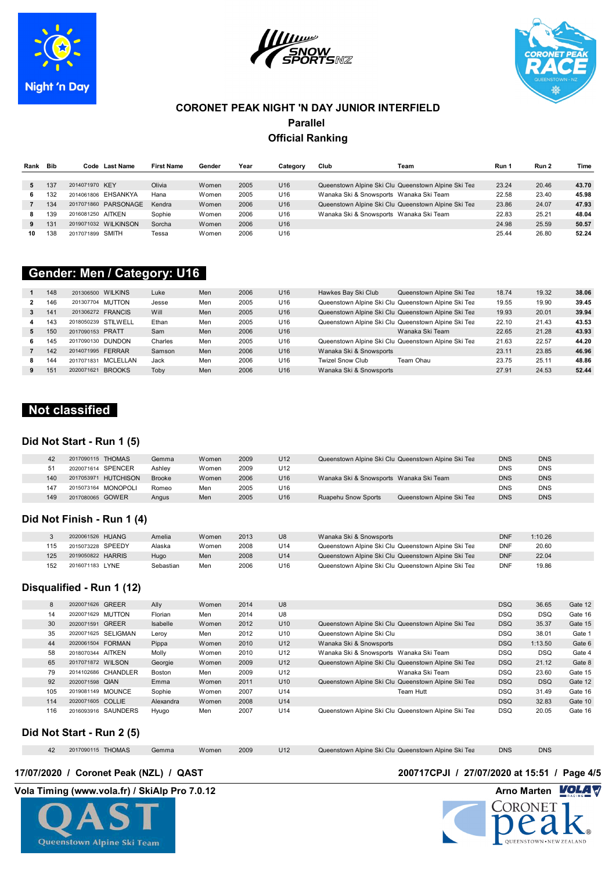





| Rank | <b>Bib</b> |                   | Code Last Name       | <b>First Name</b> | Gender | Year | Category        | Club                                    | Team                                                | Run ' | Run 2 | Time  |
|------|------------|-------------------|----------------------|-------------------|--------|------|-----------------|-----------------------------------------|-----------------------------------------------------|-------|-------|-------|
|      |            |                   |                      |                   |        |      |                 |                                         |                                                     |       |       |       |
|      | 137        | 2014071970 KEY    |                      | Olivia            | Women  | 2005 | U <sub>16</sub> |                                         | Queenstown Alpine Ski Clu Queenstown Alpine Ski Tea | 23.24 | 20.46 | 43.70 |
| 6.   | 132        |                   | 2014061806 EHSANKYA  | Hana              | Women  | 2005 | U16             | Wanaka Ski & Snowsports Wanaka Ski Team |                                                     | 22.58 | 23.40 | 45.98 |
|      | 134        |                   | 2017071860 PARSONAGE | Kendra            | Women  | 2006 | U16             |                                         | Queenstown Alpine Ski Clu Queenstown Alpine Ski Tea | 23.86 | 24.07 | 47.93 |
|      | 139        | 2016081250 AITKEN |                      | Sophie            | Women  | 2006 | U16             | Wanaka Ski & Snowsports Wanaka Ski Team |                                                     | 22.83 | 25.21 | 48.04 |
| 9    | 131        |                   | 2019071032 WILKINSON | Sorcha            | Women  | 2006 | U <sub>16</sub> |                                         |                                                     | 24.98 | 25.59 | 50.57 |
| 10   | 138        | 2017071899 SMITH  |                      | Tessa             | Women  | 2006 | U16             |                                         |                                                     | 25.44 | 26.80 | 52.24 |

### **CAUREA CALCOURT SHIPLE State Conder: Men / Category: U16 Manufacture 1330 m**

|    | 148 | 201306500 WILKINS           | Luke    | Men | 2006 | U <sub>16</sub> | Hawkes Bay Ski Club     | Queenstown Alpine Ski Tea                           | 18.74 | 19.32 | 38.06 |
|----|-----|-----------------------------|---------|-----|------|-----------------|-------------------------|-----------------------------------------------------|-------|-------|-------|
|    | 146 | 201307704 MUTTON            | Jesse   | Men | 2005 | U16             |                         | Queenstown Alpine Ski Clu Queenstown Alpine Ski Tea | 19.55 | 19.90 | 39.45 |
|    | 141 | 201306272 FRANCIS           | Will    | Men | 2005 | U16             |                         | Queenstown Alpine Ski Clu Queenstown Alpine Ski Tea | 19.93 | 20.01 | 39.94 |
|    | 143 | 2018050239 STILWELL         | Ethan   | Men | 2005 | U16             |                         | Queenstown Alpine Ski Clu Queenstown Alpine Ski Tea | 22.10 | 21.43 | 43.53 |
| 5. | 150 | 2017090153 PRATT            | Sam     | Men | 2006 | U16             |                         | Wanaka Ski Team                                     | 22.65 | 21.28 | 43.93 |
| 6. | 145 | 2017090130 DUNDON           | Charles | Men | 2005 | U16             |                         | Queenstown Alpine Ski Clu Queenstown Alpine Ski Tea | 21.63 | 22.57 | 44.20 |
|    | 142 | 2014071995 FERRAR           | Samson  | Men | 2006 | U16             | Wanaka Ski & Snowsports |                                                     | 23.11 | 23.85 | 46.96 |
|    | 144 | MCLELLAN<br>2017071831      | Jack    | Men | 2006 | U16             | <b>Twizel Snow Club</b> | Team Ohau                                           | 23.75 | 25.11 | 48.86 |
|    | 151 | <b>BROOKS</b><br>2020071621 | Toby    | Men | 2006 | U16             | Wanaka Ski & Snowsports |                                                     | 27.91 | 24.53 | 52.44 |

### **Not classified**

### **Did Not Start - Run 1 (5)**

| 42  | 2017090115 THOMAS              | Gemma         | Women | 2009 | U <sub>12</sub> | Queenstown Alpine Ski Clu Queenstown Alpine Ski Tea     | <b>DNS</b> | <b>DNS</b> |  |
|-----|--------------------------------|---------------|-------|------|-----------------|---------------------------------------------------------|------------|------------|--|
| 51  | 2020071614 SPENCER             | Ashlev        | Women | 2009 | U <sub>12</sub> |                                                         | <b>DNS</b> | <b>DNS</b> |  |
| 140 | <b>HUTCHISON</b><br>2017053971 | <b>Brooke</b> | Women | 2006 | U <sub>16</sub> | Wanaka Ski & Snowsports Wanaka Ski Team                 | <b>DNS</b> | <b>DNS</b> |  |
| 147 | 2015073164 MONOPOLI            | Romeo         | Men   | 2005 | U16             |                                                         | <b>DNS</b> | <b>DNS</b> |  |
| 149 | 2017080065 GOWER               | Angus         | Men   | 2005 | U16             | <b>Ruapehu Snow Sports</b><br>Queenstown Alpine Ski Tea | <b>DNS</b> | <b>DNS</b> |  |

### **Did Not Finish - Run 1 (4)**

|     | 2020061526 HUANG  | Amelia    | Women | 2013 | U <sub>8</sub> | Wanaka Ski & Snowsports                             | DNF        | 1:10.26 |
|-----|-------------------|-----------|-------|------|----------------|-----------------------------------------------------|------------|---------|
| 115 | 2015073228 SPEEDY | Alaska    | Women | 2008 | U14            | Queenstown Alpine Ski Clu Queenstown Alpine Ski Tea | <b>DNF</b> | 20.60   |
| 125 | 2019050822 HARRIS | Hugo      | Men   | 2008 | U14            | Queenstown Alpine Ski Clu Queenstown Alpine Ski Tea | <b>DNF</b> | 22.04   |
| 152 | 2016071183 LYNE   | Sebastian | Men   | 2006 | U16            | Queenstown Alpine Ski Clu Queenstown Alpine Ski Tea | <b>DNF</b> | 19.86   |

### **Disqualified - Run 1 (12)**

| 8   | 2020071626 GREER  |                     | Ally      | Women | 2014 | U <sub>8</sub>  |                                         |                                                     | <b>DSQ</b> | 36.65      | Gate 12 |
|-----|-------------------|---------------------|-----------|-------|------|-----------------|-----------------------------------------|-----------------------------------------------------|------------|------------|---------|
| 14  | 2020071629        | MUTTON              | Florian   | Men   | 2014 | U8              |                                         |                                                     | <b>DSQ</b> | <b>DSQ</b> | Gate 16 |
| 30  | 2020071591        | <b>GREER</b>        | Isabelle  | Women | 2012 | U <sub>10</sub> |                                         | Queenstown Alpine Ski Clu Queenstown Alpine Ski Tea | <b>DSQ</b> | 35.37      | Gate 15 |
| 35  |                   | 2020071625 SELIGMAN | Leroy     | Men   | 2012 | U10             | Queenstown Alpine Ski Clu               |                                                     | <b>DSQ</b> | 38.01      | Gate 1  |
| 44  | 2020061504 FORMAN |                     | Pippa     | Women | 2010 | U12             | Wanaka Ski & Snowsports                 |                                                     | <b>DSQ</b> | 1:13.50    | Gate 6  |
| 58  | 2018070344 AITKEN |                     | Molly     | Women | 2010 | U12             | Wanaka Ski & Snowsports Wanaka Ski Team |                                                     | <b>DSQ</b> | <b>DSQ</b> | Gate 4  |
| 65  | 2017071872 WILSON |                     | Georgie   | Women | 2009 | U12             |                                         | Queenstown Alpine Ski Clu Queenstown Alpine Ski Tea | <b>DSQ</b> | 21.12      | Gate 8  |
| 79  |                   | 2014102686 CHANDLER | Boston    | Men   | 2009 | U12             |                                         | Wanaka Ski Team                                     | <b>DSQ</b> | 23.60      | Gate 15 |
| 92  | 2020071598 QIAN   |                     | Emma      | Women | 2011 | U <sub>10</sub> |                                         | Queenstown Alpine Ski Clu Queenstown Alpine Ski Tea | <b>DSQ</b> | <b>DSQ</b> | Gate 12 |
| 105 | 2019081149 MOUNCE |                     | Sophie    | Women | 2007 | U14             |                                         | Team Hutt                                           | <b>DSQ</b> | 31.49      | Gate 16 |
| 114 | 2020071605 COLLIE |                     | Alexandra | Women | 2008 | U14             |                                         |                                                     | <b>DSQ</b> | 32.83      | Gate 10 |
| 116 |                   | 2016093916 SAUNDERS | Hyugo     | Men   | 2007 | U14             |                                         | Queenstown Alpine Ski Clu Queenstown Alpine Ski Tea | <b>DSQ</b> | 20.05      | Gate 16 |
|     |                   |                     |           |       |      |                 |                                         |                                                     |            |            |         |

### **Did Not Start - Run 2 (5)**

|  | 2017090115 THOMAS | Gemma | Women | 2009 | U12 | Queenstown Alpine Ski Clu Queenstown Alpine Ski Tea | <b>DNS</b> | <b>DNS</b> |  |
|--|-------------------|-------|-------|------|-----|-----------------------------------------------------|------------|------------|--|
|  |                   |       |       |      |     |                                                     |            |            |  |



### **17/07/2020 / Coronet Peak (NZL) / QAST 200717CPJI / 27/07/2020 at 15:51 / Page 4/5**